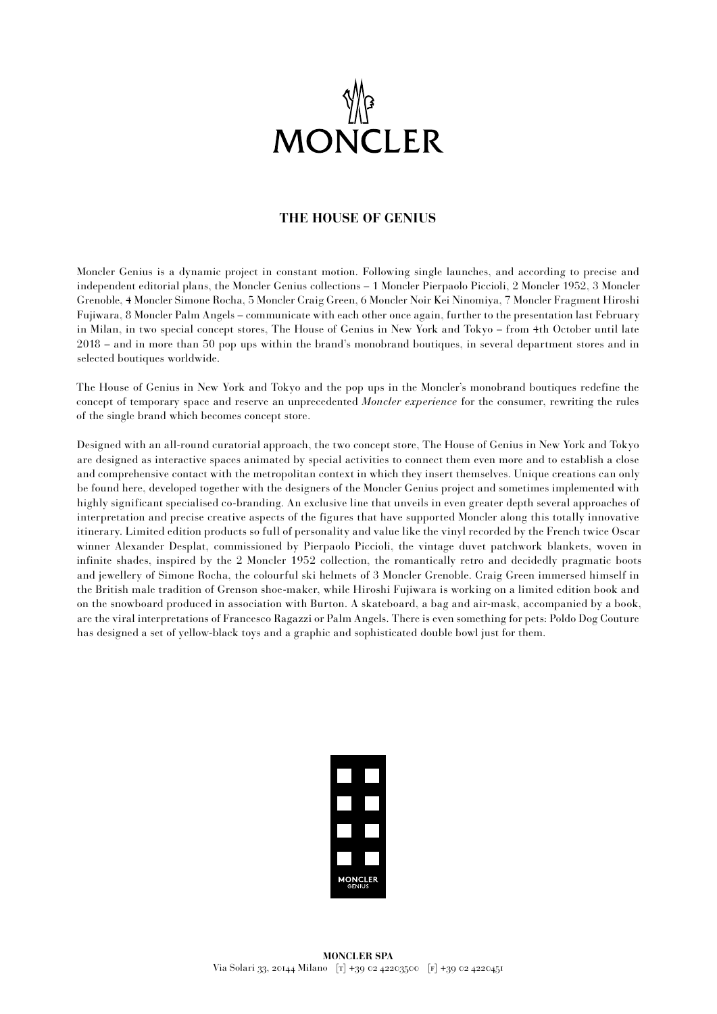

## **THE HOUSE OF GENIUS**

Moncler Genius is a dynamic project in constant motion. Following single launches, and according to precise and independent editorial plans, the Moncler Genius collections – 1 Moncler Pierpaolo Piccioli, 2 Moncler 1952, 3 Moncler Grenoble, 4 Moncler Simone Rocha, 5 Moncler Craig Green, 6 Moncler Noir Kei Ninomiya, 7 Moncler Fragment Hiroshi Fujiwara, 8 Moncler Palm Angels – communicate with each other once again, further to the presentation last February in Milan, in two special concept stores, The House of Genius in New York and Tokyo – from 4th October until late 2018 – and in more than 50 pop ups within the brand's monobrand boutiques, in several department stores and in selected boutiques worldwide.

The House of Genius in New York and Tokyo and the pop ups in the Moncler's monobrand boutiques redefine the concept of temporary space and reserve an unprecedented *Moncler experience* for the consumer, rewriting the rules of the single brand which becomes concept store.

Designed with an all-round curatorial approach, the two concept store, The House of Genius in New York and Tokyo are designed as interactive spaces animated by special activities to connect them even more and to establish a close and comprehensive contact with the metropolitan context in which they insert themselves. Unique creations can only be found here, developed together with the designers of the Moncler Genius project and sometimes implemented with highly significant specialised co-branding. An exclusive line that unveils in even greater depth several approaches of interpretation and precise creative aspects of the figures that have supported Moncler along this totally innovative itinerary. Limited edition products so full of personality and value like the vinyl recorded by the French twice Oscar winner Alexander Desplat, commissioned by Pierpaolo Piccioli, the vintage duvet patchwork blankets, woven in infinite shades, inspired by the 2 Moncler 1952 collection, the romantically retro and decidedly pragmatic boots and jewellery of Simone Rocha, the colourful ski helmets of 3 Moncler Grenoble. Craig Green immersed himself in the British male tradition of Grenson shoe-maker, while Hiroshi Fujiwara is working on a limited edition book and on the snowboard produced in association with Burton. A skateboard, a bag and air-mask, accompanied by a book, are the viral interpretations of Francesco Ragazzi or Palm Angels. There is even something for pets: Poldo Dog Couture has designed a set of yellow-black toys and a graphic and sophisticated double bowl just for them.